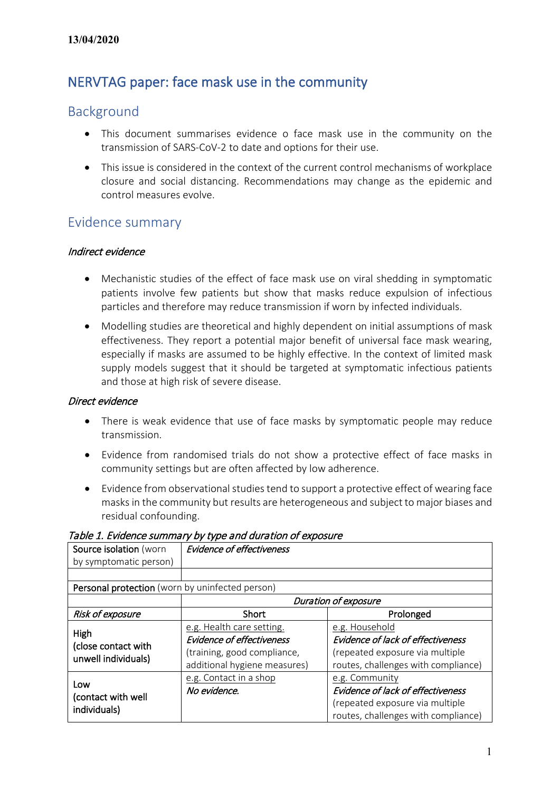## NERVTAG paper: face mask use in the community

### Background

- This document summarises evidence o face mask use in the community on the transmission of SARS-CoV-2 to date and options for their use.
- This issue is considered in the context of the current control mechanisms of workplace closure and social distancing. Recommendations may change as the epidemic and control measures evolve.

### Evidence summary

#### Indirect evidence

- Mechanistic studies of the effect of face mask use on viral shedding in symptomatic patients involve few patients but show that masks reduce expulsion of infectious particles and therefore may reduce transmission if worn by infected individuals.
- Modelling studies are theoretical and highly dependent on initial assumptions of mask effectiveness. They report a potential major benefit of universal face mask wearing, especially if masks are assumed to be highly effective. In the context of limited mask supply models suggest that it should be targeted at symptomatic infectious patients and those at high risk of severe disease.

#### Direct evidence

- There is weak evidence that use of face masks by symptomatic people may reduce transmission.
- Evidence from randomised trials do not show a protective effect of face masks in community settings but are often affected by low adherence.
- Evidence from observational studies tend to support a protective effect of wearing face masks in the community but results are heterogeneous and subject to major biases and residual confounding.

| Source isolation (worn                             | <b>Evidence of effectiveness</b> |                                     |  |
|----------------------------------------------------|----------------------------------|-------------------------------------|--|
| by symptomatic person)                             |                                  |                                     |  |
|                                                    |                                  |                                     |  |
| Personal protection (worn by uninfected person)    |                                  |                                     |  |
|                                                    | <b>Duration of exposure</b>      |                                     |  |
| Risk of exposure                                   | Short                            | Prolonged                           |  |
| High<br>(close contact with<br>unwell individuals) | e.g. Health care setting.        | e.g. Household                      |  |
|                                                    | <b>Evidence of effectiveness</b> | Evidence of lack of effectiveness   |  |
|                                                    | (training, good compliance,      | (repeated exposure via multiple     |  |
|                                                    | additional hygiene measures)     | routes, challenges with compliance) |  |
| Low<br>(contact with well<br>individuals)          | e.g. Contact in a shop           | e.g. Community                      |  |
|                                                    | No evidence.                     | Evidence of lack of effectiveness   |  |
|                                                    |                                  | (repeated exposure via multiple     |  |
|                                                    |                                  | routes, challenges with compliance) |  |

Table 1. Evidence summary by type and duration of exposure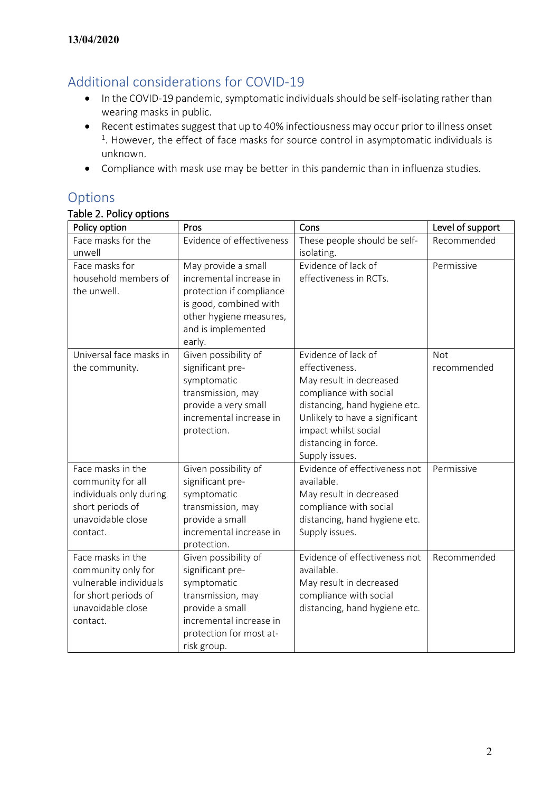## Additional considerations for COVID-19

- In the COVID-19 pandemic, symptomatic individuals should be self-isolating rather than wearing masks in public.
- Recent estimates suggest that up to 40% infectiousness may occur prior to illness onset  $1.$  However, the effect of face masks for source control in asymptomatic individuals is unknown.
- Compliance with mask use may be better in this pandemic than in influenza studies.

### Options

### Table 2. Policy options

| Policy option                                                                                                              | Pros                                                                                                                                                                 | Cons                                                                                                                                                                                                                            | Level of support   |
|----------------------------------------------------------------------------------------------------------------------------|----------------------------------------------------------------------------------------------------------------------------------------------------------------------|---------------------------------------------------------------------------------------------------------------------------------------------------------------------------------------------------------------------------------|--------------------|
| Face masks for the<br>unwell                                                                                               | Evidence of effectiveness                                                                                                                                            | These people should be self-<br>isolating.                                                                                                                                                                                      | Recommended        |
| Face masks for<br>household members of<br>the unwell.                                                                      | May provide a small<br>incremental increase in<br>protection if compliance<br>is good, combined with<br>other hygiene measures,<br>and is implemented<br>early.      | Evidence of lack of<br>effectiveness in RCTs.                                                                                                                                                                                   | Permissive         |
| Universal face masks in<br>the community.                                                                                  | Given possibility of<br>significant pre-<br>symptomatic<br>transmission, may<br>provide a very small<br>incremental increase in<br>protection.                       | Evidence of lack of<br>effectiveness.<br>May result in decreased<br>compliance with social<br>distancing, hand hygiene etc.<br>Unlikely to have a significant<br>impact whilst social<br>distancing in force.<br>Supply issues. | Not<br>recommended |
| Face masks in the<br>community for all<br>individuals only during<br>short periods of<br>unavoidable close<br>contact.     | Given possibility of<br>significant pre-<br>symptomatic<br>transmission, may<br>provide a small<br>incremental increase in<br>protection.                            | Evidence of effectiveness not<br>available.<br>May result in decreased<br>compliance with social<br>distancing, hand hygiene etc.<br>Supply issues.                                                                             | Permissive         |
| Face masks in the<br>community only for<br>vulnerable individuals<br>for short periods of<br>unavoidable close<br>contact. | Given possibility of<br>significant pre-<br>symptomatic<br>transmission, may<br>provide a small<br>incremental increase in<br>protection for most at-<br>risk group. | Evidence of effectiveness not<br>available.<br>May result in decreased<br>compliance with social<br>distancing, hand hygiene etc.                                                                                               | Recommended        |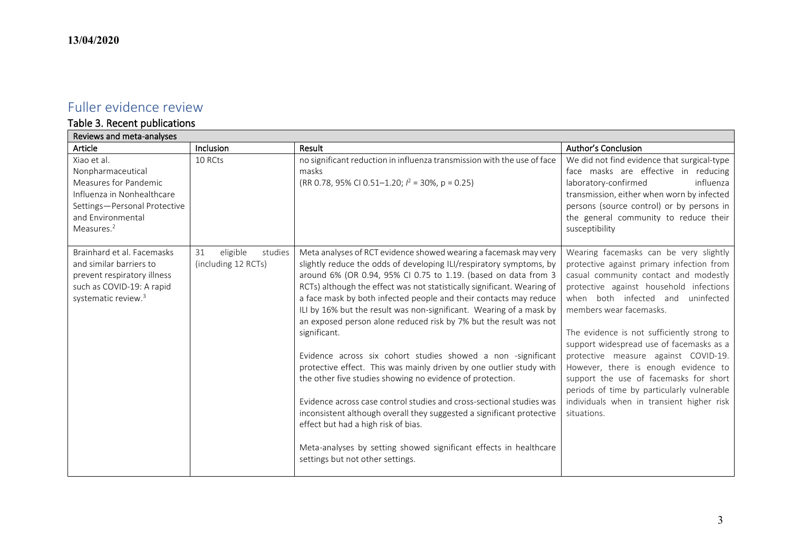## Fuller evidence review

# Table 3. Recent publications

| Reviews and meta-analyses                                                                                                                                              |                                                  |                                                                                                                                                                                                                                                                                                                                                                                                                                                                                                                                                                                                                                                                                                                                                                                                                                                                                                                                                                                                                            |                                                                                                                                                                                                                                                                                                                                                                                                                                                                                                                                                                          |
|------------------------------------------------------------------------------------------------------------------------------------------------------------------------|--------------------------------------------------|----------------------------------------------------------------------------------------------------------------------------------------------------------------------------------------------------------------------------------------------------------------------------------------------------------------------------------------------------------------------------------------------------------------------------------------------------------------------------------------------------------------------------------------------------------------------------------------------------------------------------------------------------------------------------------------------------------------------------------------------------------------------------------------------------------------------------------------------------------------------------------------------------------------------------------------------------------------------------------------------------------------------------|--------------------------------------------------------------------------------------------------------------------------------------------------------------------------------------------------------------------------------------------------------------------------------------------------------------------------------------------------------------------------------------------------------------------------------------------------------------------------------------------------------------------------------------------------------------------------|
| Article                                                                                                                                                                | Inclusion                                        | Result                                                                                                                                                                                                                                                                                                                                                                                                                                                                                                                                                                                                                                                                                                                                                                                                                                                                                                                                                                                                                     | Author's Conclusion                                                                                                                                                                                                                                                                                                                                                                                                                                                                                                                                                      |
| Xiao et al.<br>Nonpharmaceutical<br>Measures for Pandemic<br>Influenza in Nonhealthcare<br>Settings-Personal Protective<br>and Environmental<br>Measures. <sup>2</sup> | 10 RCts                                          | no significant reduction in influenza transmission with the use of face<br>masks<br>(RR 0.78, 95% CI 0.51–1.20; $l^2$ = 30%, p = 0.25)                                                                                                                                                                                                                                                                                                                                                                                                                                                                                                                                                                                                                                                                                                                                                                                                                                                                                     | We did not find evidence that surgical-type<br>face masks are effective in reducing<br>laboratory-confirmed<br>influenza<br>transmission, either when worn by infected<br>persons (source control) or by persons in<br>the general community to reduce their<br>susceptibility                                                                                                                                                                                                                                                                                           |
| Brainhard et al. Facemasks<br>and similar barriers to<br>prevent respiratory illness<br>such as COVID-19: A rapid<br>systematic review. <sup>3</sup>                   | eligible<br>studies<br>31<br>(including 12 RCTs) | Meta analyses of RCT evidence showed wearing a facemask may very<br>slightly reduce the odds of developing ILI/respiratory symptoms, by<br>around 6% (OR 0.94, 95% CI 0.75 to 1.19. (based on data from 3<br>RCTs) although the effect was not statistically significant. Wearing of<br>a face mask by both infected people and their contacts may reduce<br>ILI by 16% but the result was non-significant. Wearing of a mask by<br>an exposed person alone reduced risk by 7% but the result was not<br>significant.<br>Evidence across six cohort studies showed a non -significant<br>protective effect. This was mainly driven by one outlier study with<br>the other five studies showing no evidence of protection.<br>Evidence across case control studies and cross-sectional studies was<br>inconsistent although overall they suggested a significant protective<br>effect but had a high risk of bias.<br>Meta-analyses by setting showed significant effects in healthcare<br>settings but not other settings. | Wearing facemasks can be very slightly<br>protective against primary infection from<br>casual community contact and modestly<br>protective against household infections<br>when both infected and<br>uninfected<br>members wear facemasks.<br>The evidence is not sufficiently strong to<br>support widespread use of facemasks as a<br>protective measure against COVID-19.<br>However, there is enough evidence to<br>support the use of facemasks for short<br>periods of time by particularly vulnerable<br>individuals when in transient higher risk<br>situations. |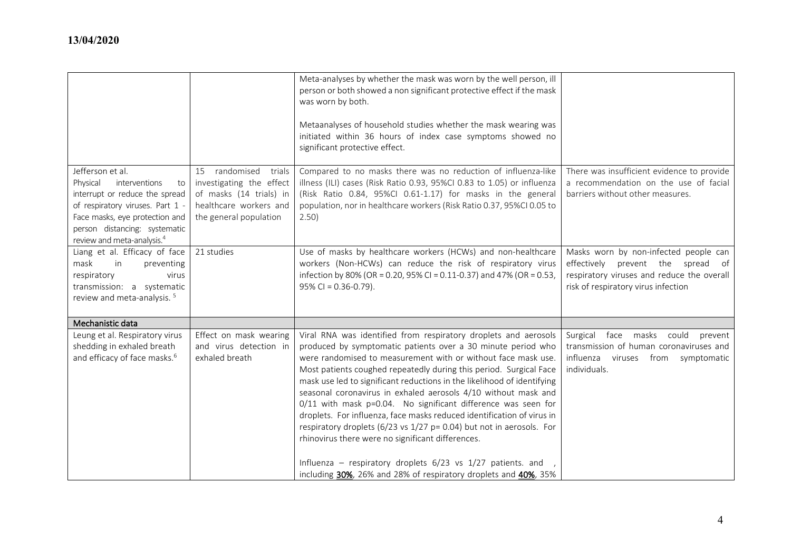|                                                                                                                                                                                                                                        |                                                                                                                                    | Meta-analyses by whether the mask was worn by the well person, ill<br>person or both showed a non significant protective effect if the mask<br>was worn by both.                                                                                                                                                                                                                                                                                                                                                                                                                                                                                                                            |                                                                                                                                                                 |
|----------------------------------------------------------------------------------------------------------------------------------------------------------------------------------------------------------------------------------------|------------------------------------------------------------------------------------------------------------------------------------|---------------------------------------------------------------------------------------------------------------------------------------------------------------------------------------------------------------------------------------------------------------------------------------------------------------------------------------------------------------------------------------------------------------------------------------------------------------------------------------------------------------------------------------------------------------------------------------------------------------------------------------------------------------------------------------------|-----------------------------------------------------------------------------------------------------------------------------------------------------------------|
|                                                                                                                                                                                                                                        |                                                                                                                                    | Metaanalyses of household studies whether the mask wearing was<br>initiated within 36 hours of index case symptoms showed no<br>significant protective effect.                                                                                                                                                                                                                                                                                                                                                                                                                                                                                                                              |                                                                                                                                                                 |
| Jefferson et al.<br>Physical<br>interventions<br>to<br>interrupt or reduce the spread<br>of respiratory viruses. Part 1 -<br>Face masks, eye protection and<br>person distancing: systematic<br>review and meta-analysis. <sup>4</sup> | 15 randomised<br>trials<br>investigating the effect<br>of masks (14 trials) in<br>healthcare workers and<br>the general population | Compared to no masks there was no reduction of influenza-like<br>illness (ILI) cases (Risk Ratio 0.93, 95%CI 0.83 to 1.05) or influenza<br>(Risk Ratio 0.84, 95%Cl 0.61-1.17) for masks in the general<br>population, nor in healthcare workers (Risk Ratio 0.37, 95%CI 0.05 to<br>2.50)                                                                                                                                                                                                                                                                                                                                                                                                    | There was insufficient evidence to provide<br>a recommendation on the use of facial<br>barriers without other measures.                                         |
| Liang et al. Efficacy of face<br>mask<br>in<br>preventing<br>virus<br>respiratory<br>transmission: a systematic<br>review and meta-analysis. <sup>5</sup>                                                                              | 21 studies                                                                                                                         | Use of masks by healthcare workers (HCWs) and non-healthcare<br>workers (Non-HCWs) can reduce the risk of respiratory virus<br>infection by 80% (OR = 0.20, 95% CI = 0.11-0.37) and 47% (OR = 0.53,<br>$95\%$ CI = 0.36-0.79).                                                                                                                                                                                                                                                                                                                                                                                                                                                              | Masks worn by non-infected people can<br>effectively prevent the spread of<br>respiratory viruses and reduce the overall<br>risk of respiratory virus infection |
| Mechanistic data                                                                                                                                                                                                                       |                                                                                                                                    |                                                                                                                                                                                                                                                                                                                                                                                                                                                                                                                                                                                                                                                                                             |                                                                                                                                                                 |
| Leung et al. Respiratory virus<br>shedding in exhaled breath<br>and efficacy of face masks. <sup>6</sup>                                                                                                                               | Effect on mask wearing<br>and virus detection in<br>exhaled breath                                                                 | Viral RNA was identified from respiratory droplets and aerosols<br>produced by symptomatic patients over a 30 minute period who<br>were randomised to measurement with or without face mask use.<br>Most patients coughed repeatedly during this period. Surgical Face<br>mask use led to significant reductions in the likelihood of identifying<br>seasonal coronavirus in exhaled aerosols 4/10 without mask and<br>0/11 with mask p=0.04. No significant difference was seen for<br>droplets. For influenza, face masks reduced identification of virus in<br>respiratory droplets (6/23 vs 1/27 p= 0.04) but not in aerosols. For<br>rhinovirus there were no significant differences. | Surgical face masks could<br>prevent<br>transmission of human coronaviruses and<br>influenza viruses from symptomatic<br>individuals.                           |
|                                                                                                                                                                                                                                        |                                                                                                                                    | Influenza - respiratory droplets 6/23 vs 1/27 patients. and ,<br>including 30%, 26% and 28% of respiratory droplets and 40%, 35%                                                                                                                                                                                                                                                                                                                                                                                                                                                                                                                                                            |                                                                                                                                                                 |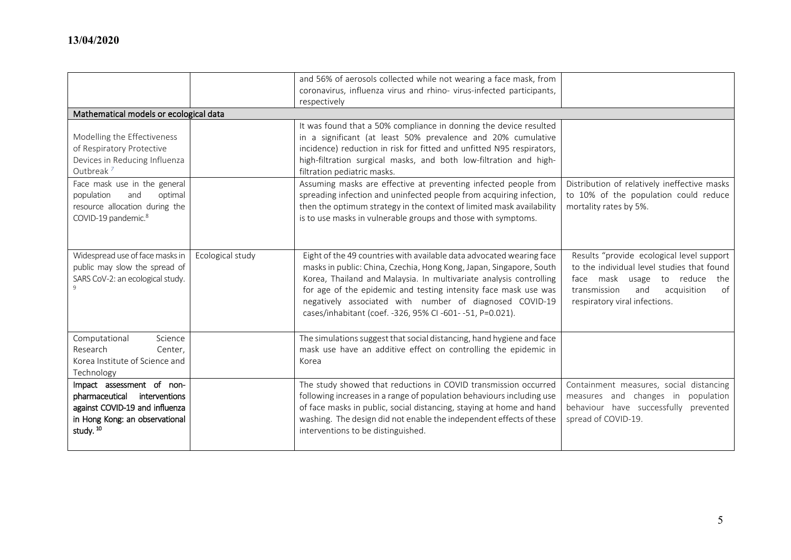|                                                                                                                                                                                                                                                         |                  | and 56% of aerosols collected while not wearing a face mask, from                                                                                                                                                                                                                                                                                                                                                                                                                                                                                                                                  |                                                                                                                                                                                                          |
|---------------------------------------------------------------------------------------------------------------------------------------------------------------------------------------------------------------------------------------------------------|------------------|----------------------------------------------------------------------------------------------------------------------------------------------------------------------------------------------------------------------------------------------------------------------------------------------------------------------------------------------------------------------------------------------------------------------------------------------------------------------------------------------------------------------------------------------------------------------------------------------------|----------------------------------------------------------------------------------------------------------------------------------------------------------------------------------------------------------|
|                                                                                                                                                                                                                                                         |                  | coronavirus, influenza virus and rhino- virus-infected participants,                                                                                                                                                                                                                                                                                                                                                                                                                                                                                                                               |                                                                                                                                                                                                          |
|                                                                                                                                                                                                                                                         |                  | respectively                                                                                                                                                                                                                                                                                                                                                                                                                                                                                                                                                                                       |                                                                                                                                                                                                          |
| Mathematical models or ecological data                                                                                                                                                                                                                  |                  |                                                                                                                                                                                                                                                                                                                                                                                                                                                                                                                                                                                                    |                                                                                                                                                                                                          |
| Modelling the Effectiveness<br>of Respiratory Protective<br>Devices in Reducing Influenza<br>Outbreak <sup>7</sup><br>Face mask use in the general<br>population<br>and<br>optimal<br>resource allocation during the<br>COVID-19 pandemic. <sup>8</sup> |                  | It was found that a 50% compliance in donning the device resulted<br>in a significant (at least 50% prevalence and 20% cumulative<br>incidence) reduction in risk for fitted and unfitted N95 respirators,<br>high-filtration surgical masks, and both low-filtration and high-<br>filtration pediatric masks.<br>Assuming masks are effective at preventing infected people from<br>spreading infection and uninfected people from acquiring infection,<br>then the optimum strategy in the context of limited mask availability<br>is to use masks in vulnerable groups and those with symptoms. | Distribution of relatively ineffective masks<br>to 10% of the population could reduce<br>mortality rates by 5%.                                                                                          |
| Widespread use of face masks in<br>public may slow the spread of<br>SARS CoV-2: an ecological study.                                                                                                                                                    | Ecological study | Eight of the 49 countries with available data advocated wearing face<br>masks in public: China, Czechia, Hong Kong, Japan, Singapore, South<br>Korea, Thailand and Malaysia. In multivariate analysis controlling<br>for age of the epidemic and testing intensity face mask use was<br>negatively associated with number of diagnosed COVID-19<br>cases/inhabitant (coef. -326, 95% CI -601- -51, P=0.021).                                                                                                                                                                                       | Results "provide ecological level support<br>to the individual level studies that found<br>face mask usage to reduce<br>the<br>of<br>transmission<br>and<br>acquisition<br>respiratory viral infections. |
| Computational<br>Science<br>Research<br>Center,<br>Korea Institute of Science and<br>Technology                                                                                                                                                         |                  | The simulations suggest that social distancing, hand hygiene and face<br>mask use have an additive effect on controlling the epidemic in<br>Korea                                                                                                                                                                                                                                                                                                                                                                                                                                                  |                                                                                                                                                                                                          |
| Impact assessment of non-<br>pharmaceutical<br>interventions<br>against COVID-19 and influenza<br>in Hong Kong: an observational<br>study. <sup>10</sup>                                                                                                |                  | The study showed that reductions in COVID transmission occurred<br>following increases in a range of population behaviours including use<br>of face masks in public, social distancing, staying at home and hand<br>washing. The design did not enable the independent effects of these<br>interventions to be distinguished.                                                                                                                                                                                                                                                                      | Containment measures, social distancing<br>measures and changes in<br>population<br>behaviour have successfully<br>prevented<br>spread of COVID-19.                                                      |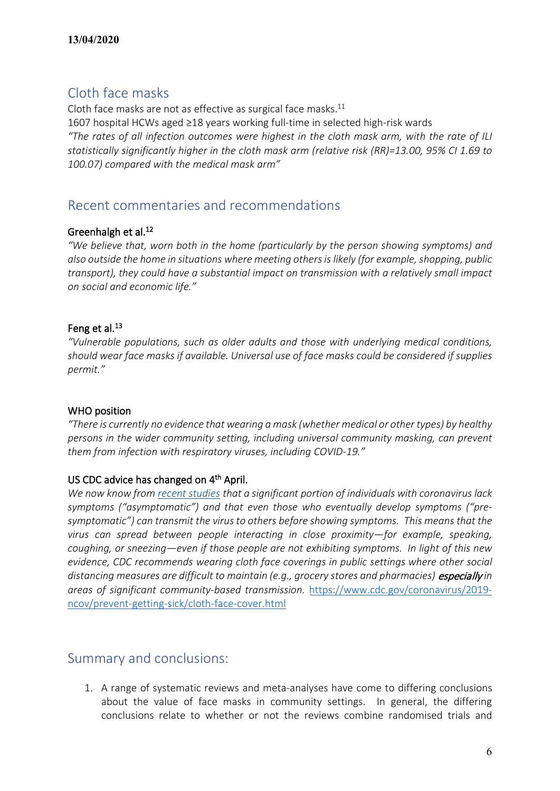## Cloth face masks

Cloth face masks are not as effective as surgical face masks.<sup>11</sup> 1607 hospital HCWs aged ≥18 years working full-time in selected high-risk wards *"The rates of all infection outcomes were highest in the cloth mask arm, with the rate of ILI statistically significantly higher in the cloth mask arm (relative risk (RR)=13.00, 95% CI 1.69 to 100.07) compared with the medical mask arm"*

## Recent commentaries and recommendations

#### Greenhalgh et al.<sup>12</sup>

*"We believe that, worn both in the home (particularly by the person showing symptoms) and also outside the home in situations where meeting others is likely (for example, shopping, public transport), they could have a substantial impact on transmission with a relatively small impact on social and economic life."*

#### Feng et al.<sup>13</sup>

*"Vulnerable populations, such as older adults and those with underlying medical conditions, should wear face masks if available. Universal use of face masks could be considered if supplies permit."*

#### WHO position

*"There is currently no evidence that wearing a mask (whether medical or other types) by healthy persons in the wider community setting, including universal community masking, can prevent them from infection with respiratory viruses, including COVID-19."*

#### US CDC advice has changed on 4<sup>th</sup> April.

*We now know from [recent studies](https://www.cdc.gov/coronavirus/2019-ncov/prevent-getting-sick/cloth-face-cover.html#studies) that a significant portion of individuals with coronavirus lack symptoms ("asymptomatic") and that even those who eventually develop symptoms ("presymptomatic") can transmit the virus to others before showing symptoms. This means that the virus can spread between people interacting in close proximity—for example, speaking, coughing, or sneezing—even if those people are not exhibiting symptoms. In light of this new evidence, CDC recommends wearing cloth face coverings in public settings where other social distancing measures are difficult to maintain (e.g., grocery stores and pharmacies)* especially *in areas of significant community-based transmission.* [https://www.cdc.gov/coronavirus/2019](https://www.cdc.gov/coronavirus/2019-ncov/prevent-getting-sick/cloth-face-cover.html) [ncov/prevent-getting-sick/cloth-face-cover.html](https://www.cdc.gov/coronavirus/2019-ncov/prevent-getting-sick/cloth-face-cover.html)

### Summary and conclusions:

1. A range of systematic reviews and meta-analyses have come to differing conclusions about the value of face masks in community settings. In general, the differing conclusions relate to whether or not the reviews combine randomised trials and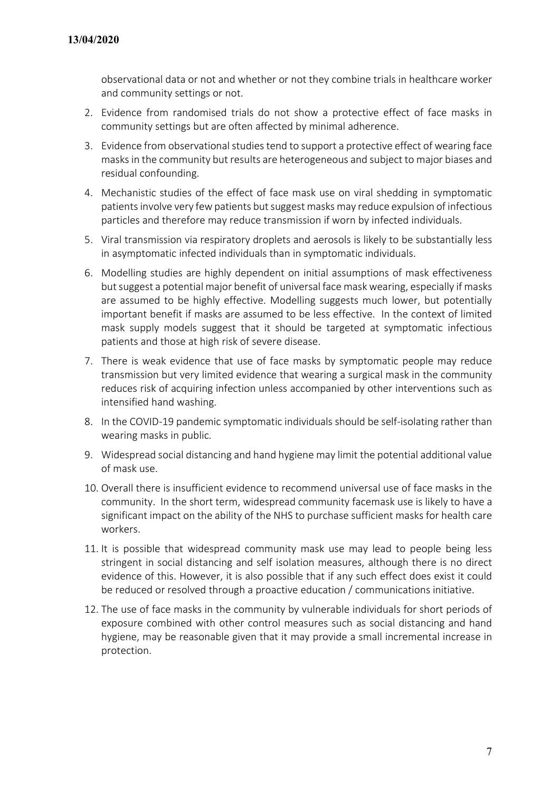observational data or not and whether or not they combine trials in healthcare worker and community settings or not.

- 2. Evidence from randomised trials do not show a protective effect of face masks in community settings but are often affected by minimal adherence.
- 3. Evidence from observational studies tend to support a protective effect of wearing face masks in the community but results are heterogeneous and subject to major biases and residual confounding.
- 4. Mechanistic studies of the effect of face mask use on viral shedding in symptomatic patients involve very few patients but suggest masks may reduce expulsion of infectious particles and therefore may reduce transmission if worn by infected individuals.
- 5. Viral transmission via respiratory droplets and aerosols is likely to be substantially less in asymptomatic infected individuals than in symptomatic individuals.
- 6. Modelling studies are highly dependent on initial assumptions of mask effectiveness but suggest a potential major benefit of universal face mask wearing, especially if masks are assumed to be highly effective. Modelling suggests much lower, but potentially important benefit if masks are assumed to be less effective. In the context of limited mask supply models suggest that it should be targeted at symptomatic infectious patients and those at high risk of severe disease.
- 7. There is weak evidence that use of face masks by symptomatic people may reduce transmission but very limited evidence that wearing a surgical mask in the community reduces risk of acquiring infection unless accompanied by other interventions such as intensified hand washing.
- 8. In the COVID-19 pandemic symptomatic individuals should be self-isolating rather than wearing masks in public.
- 9. Widespread social distancing and hand hygiene may limit the potential additional value of mask use.
- 10. Overall there is insufficient evidence to recommend universal use of face masks in the community. In the short term, widespread community facemask use is likely to have a significant impact on the ability of the NHS to purchase sufficient masks for health care workers.
- 11. It is possible that widespread community mask use may lead to people being less stringent in social distancing and self isolation measures, although there is no direct evidence of this. However, it is also possible that if any such effect does exist it could be reduced or resolved through a proactive education / communications initiative.
- 12. The use of face masks in the community by vulnerable individuals for short periods of exposure combined with other control measures such as social distancing and hand hygiene, may be reasonable given that it may provide a small incremental increase in protection.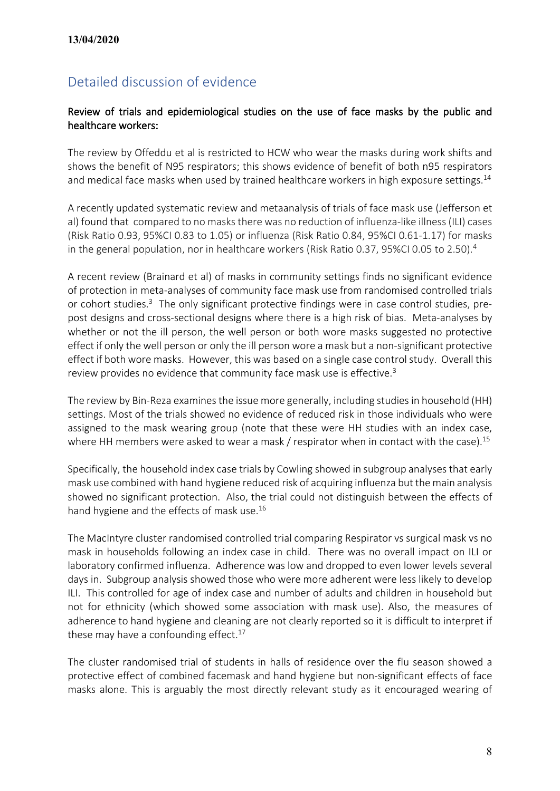## Detailed discussion of evidence

#### Review of trials and epidemiological studies on the use of face masks by the public and healthcare workers:

The review by Offeddu et al is restricted to HCW who wear the masks during work shifts and shows the benefit of N95 respirators; this shows evidence of benefit of both n95 respirators and medical face masks when used by trained healthcare workers in high exposure settings.<sup>14</sup>

A recently updated systematic review and metaanalysis of trials of face mask use (Jefferson et al) found that compared to no masks there was no reduction of influenza-like illness (ILI) cases (Risk Ratio 0.93, 95%CI 0.83 to 1.05) or influenza (Risk Ratio 0.84, 95%CI 0.61-1.17) for masks in the general population, nor in healthcare workers (Risk Ratio 0.37, 95%CI 0.05 to 2.50). 4

A recent review (Brainard et al) of masks in community settings finds no significant evidence of protection in meta-analyses of community face mask use from randomised controlled trials or cohort studies.<sup>3</sup> The only significant protective findings were in case control studies, prepost designs and cross-sectional designs where there is a high risk of bias. Meta-analyses by whether or not the ill person, the well person or both wore masks suggested no protective effect if only the well person or only the ill person wore a mask but a non-significant protective effect if both wore masks. However, this was based on a single case control study. Overall this review provides no evidence that community face mask use is effective.<sup>3</sup>

The review by Bin-Reza examines the issue more generally, including studies in household (HH) settings. Most of the trials showed no evidence of reduced risk in those individuals who were assigned to the mask wearing group (note that these were HH studies with an index case, where HH members were asked to wear a mask / respirator when in contact with the case).<sup>15</sup>

Specifically, the household index case trials by Cowling showed in subgroup analyses that early mask use combined with hand hygiene reduced risk of acquiring influenza but the main analysis showed no significant protection. Also, the trial could not distinguish between the effects of hand hygiene and the effects of mask use.<sup>16</sup>

The MacIntyre cluster randomised controlled trial comparing Respirator vs surgical mask vs no mask in households following an index case in child. There was no overall impact on ILI or laboratory confirmed influenza. Adherence was low and dropped to even lower levels several days in. Subgroup analysis showed those who were more adherent were less likely to develop ILI. This controlled for age of index case and number of adults and children in household but not for ethnicity (which showed some association with mask use). Also, the measures of adherence to hand hygiene and cleaning are not clearly reported so it is difficult to interpret if these may have a confounding effect.<sup>17</sup>

The cluster randomised trial of students in halls of residence over the flu season showed a protective effect of combined facemask and hand hygiene but non-significant effects of face masks alone. This is arguably the most directly relevant study as it encouraged wearing of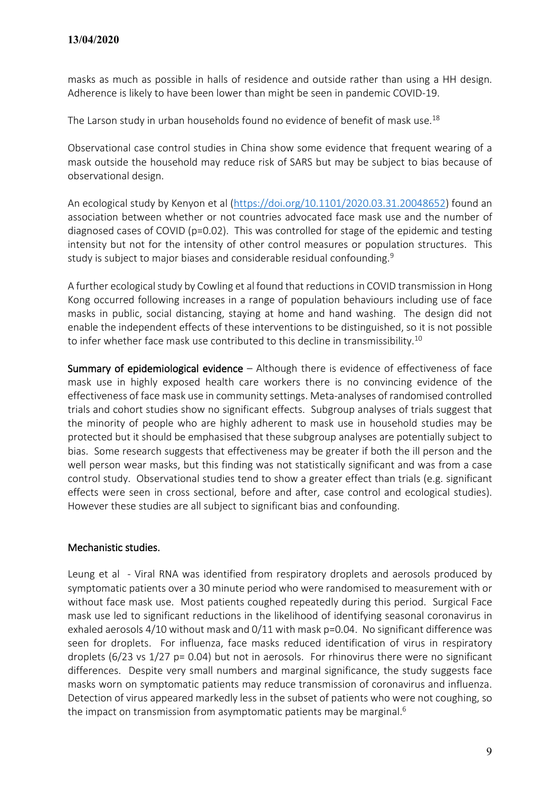masks as much as possible in halls of residence and outside rather than using a HH design. Adherence is likely to have been lower than might be seen in pandemic COVID-19.

The Larson study in urban households found no evidence of benefit of mask use.<sup>18</sup>

Observational case control studies in China show some evidence that frequent wearing of a mask outside the household may reduce risk of SARS but may be subject to bias because of observational design.

An ecological study by Kenyon et al [\(https://doi.org/10.1101/2020.03.31.20048652\)](https://doi.org/10.1101/2020.03.31.20048652) found an association between whether or not countries advocated face mask use and the number of diagnosed cases of COVID (p=0.02). This was controlled for stage of the epidemic and testing intensity but not for the intensity of other control measures or population structures. This study is subject to major biases and considerable residual confounding.<sup>9</sup>

A further ecological study by Cowling et al found that reductions in COVID transmission in Hong Kong occurred following increases in a range of population behaviours including use of face masks in public, social distancing, staying at home and hand washing. The design did not enable the independent effects of these interventions to be distinguished, so it is not possible to infer whether face mask use contributed to this decline in transmissibility.<sup>10</sup>

Summary of epidemiological evidence - Although there is evidence of effectiveness of face mask use in highly exposed health care workers there is no convincing evidence of the effectiveness of face mask use in community settings. Meta-analyses of randomised controlled trials and cohort studies show no significant effects. Subgroup analyses of trials suggest that the minority of people who are highly adherent to mask use in household studies may be protected but it should be emphasised that these subgroup analyses are potentially subject to bias. Some research suggests that effectiveness may be greater if both the ill person and the well person wear masks, but this finding was not statistically significant and was from a case control study. Observational studies tend to show a greater effect than trials (e.g. significant effects were seen in cross sectional, before and after, case control and ecological studies). However these studies are all subject to significant bias and confounding.

#### Mechanistic studies.

Leung et al - Viral RNA was identified from respiratory droplets and aerosols produced by symptomatic patients over a 30 minute period who were randomised to measurement with or without face mask use. Most patients coughed repeatedly during this period. Surgical Face mask use led to significant reductions in the likelihood of identifying seasonal coronavirus in exhaled aerosols 4/10 without mask and 0/11 with mask p=0.04. No significant difference was seen for droplets. For influenza, face masks reduced identification of virus in respiratory droplets (6/23 vs 1/27 p= 0.04) but not in aerosols. For rhinovirus there were no significant differences. Despite very small numbers and marginal significance, the study suggests face masks worn on symptomatic patients may reduce transmission of coronavirus and influenza. Detection of virus appeared markedly less in the subset of patients who were not coughing, so the impact on transmission from asymptomatic patients may be marginal.<sup>6</sup>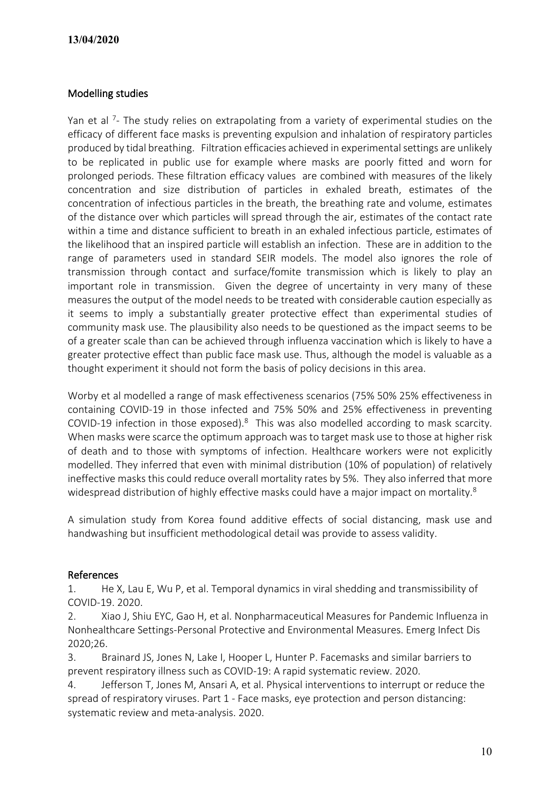#### Modelling studies

Yan et al <sup>7</sup>- The study relies on extrapolating from a variety of experimental studies on the efficacy of different face masks is preventing expulsion and inhalation of respiratory particles produced by tidal breathing. Filtration efficacies achieved in experimental settings are unlikely to be replicated in public use for example where masks are poorly fitted and worn for prolonged periods. These filtration efficacy values are combined with measures of the likely concentration and size distribution of particles in exhaled breath, estimates of the concentration of infectious particles in the breath, the breathing rate and volume, estimates of the distance over which particles will spread through the air, estimates of the contact rate within a time and distance sufficient to breath in an exhaled infectious particle, estimates of the likelihood that an inspired particle will establish an infection. These are in addition to the range of parameters used in standard SEIR models. The model also ignores the role of transmission through contact and surface/fomite transmission which is likely to play an important role in transmission. Given the degree of uncertainty in very many of these measures the output of the model needs to be treated with considerable caution especially as it seems to imply a substantially greater protective effect than experimental studies of community mask use. The plausibility also needs to be questioned as the impact seems to be of a greater scale than can be achieved through influenza vaccination which is likely to have a greater protective effect than public face mask use. Thus, although the model is valuable as a thought experiment it should not form the basis of policy decisions in this area.

Worby et al modelled a range of mask effectiveness scenarios (75% 50% 25% effectiveness in containing COVID-19 in those infected and 75% 50% and 25% effectiveness in preventing COVID-19 infection in those exposed). $8$  This was also modelled according to mask scarcity. When masks were scarce the optimum approach was to target mask use to those at higher risk of death and to those with symptoms of infection. Healthcare workers were not explicitly modelled. They inferred that even with minimal distribution (10% of population) of relatively ineffective masks this could reduce overall mortality rates by 5%. They also inferred that more widespread distribution of highly effective masks could have a major impact on mortality.<sup>8</sup>

A simulation study from Korea found additive effects of social distancing, mask use and handwashing but insufficient methodological detail was provide to assess validity.

#### References

1. He X, Lau E, Wu P, et al. Temporal dynamics in viral shedding and transmissibility of COVID-19. 2020.

2. Xiao J, Shiu EYC, Gao H, et al. Nonpharmaceutical Measures for Pandemic Influenza in Nonhealthcare Settings-Personal Protective and Environmental Measures. Emerg Infect Dis 2020;26.

3. Brainard JS, Jones N, Lake I, Hooper L, Hunter P. Facemasks and similar barriers to prevent respiratory illness such as COVID-19: A rapid systematic review. 2020.

4. Jefferson T, Jones M, Ansari A, et al. Physical interventions to interrupt or reduce the spread of respiratory viruses. Part 1 - Face masks, eye protection and person distancing: systematic review and meta-analysis. 2020.